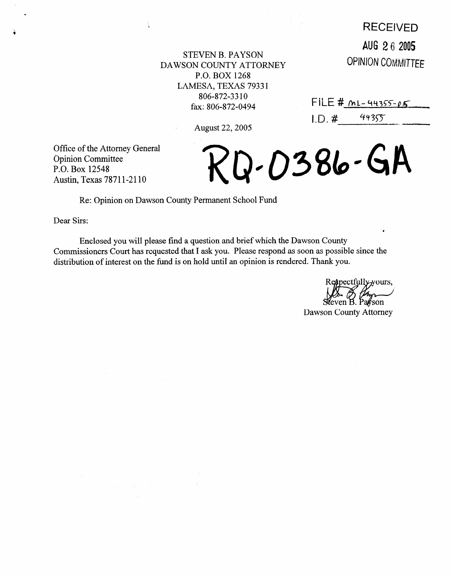## **IRECEIVED**

AUG 2 **6** 2005 **OPINION COMMITTEE** 

STEVEN B. PAYSON DAWSON COUNTY ATTORNEY P.O. BOX 1268 LAMESA, TEXAS 7933 1 806-872-33 10 fax: 806-872-0494

August 22,2005

 $FILE # ML-44355-05$  $1. D. #$  $44355$ 

Q-0386-GA

Office of the Attorney General Opinion Committee P.O. Box 12548 Austin, Texas 78711-2110

## Re: Opinion on Dawson County Permanent School Fund

J.

Dear Sirs:

Enclosed you will please find a question and brief which the Dawson County Commissioners Court has requested that I ask you. Please respond as soon as possible since the distribution of interest on the fund is on hold until an opinion is rendered. Thank you.

Respectfully-yours,

Dawson County Attorney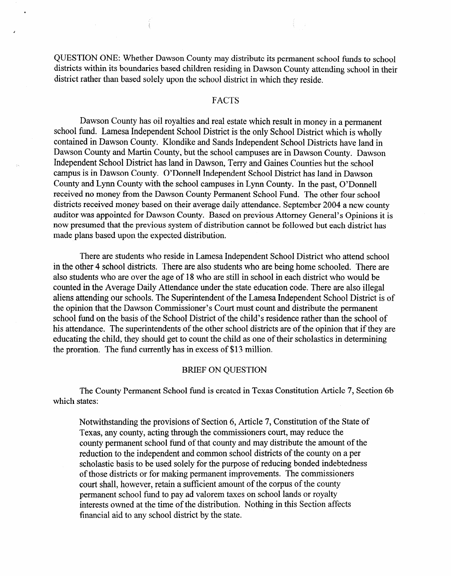QUESTION ONE: Whether Dawson County may distribute its permanent school funds to school districts within its boundaries based children residing in Dawson County attending school in their district rather than based solely upon the school district in which they reside.

## FACTS

Dawson County has oil royalties and real estate which result in money in a permanent school fund. Lamesa Independent School District is the only School District which is wholly contained in Dawson County. Klondike and Sands Independent School Districts have land in Dawson County and Martin County, but the school campuses are in Dawson County. Dawson Independent School District has land in Dawson, Terry and Gaines Counties but the school campus is in Dawson County. O'Donnell Independent School District has land in Dawson County and Lynn County with the school campuses in Lynn County. In the past, O'Donnell received no money from the Dawson County Permanent School Fund. The other four school districts received money based on their average daily attendance. September 2004 a new county auditor was appointed for Dawson County. Based on previous Attorney General's Opinions it is now presumed that the previous system of distribution cannot be followed but each district has made plans based upon the expected distribution.

There are students who reside in Lamesa Independent School District who attend school in the other 4 school districts. There are also students who are being home schooled. There are also students who are over the age of 18 who are still in school in each district who would be counted in the Average Daily Attendance under the state education code. There are also illegal aliens attending our schools. The Superintendent of the Lamesa Independent School District is of the opinion that the Dawson Commissioner's Court must count and distribute the permanent school fund on the basis of the School District of the child's residence rather than the school of his attendance. The superintendents of the other school districts are of the opinion that if they are educating the child, they should get to count the child as one of their scholastics in determining the proration. The fund currently has in excess of \$13 million.

## BRIEF ON QUESTION

The County Permanent School fund is created in Texas Constitution Article 7, Section 6b which states:

Notwithstanding the provisions of Section 6, Article 7, Constitution of the State of Texas, any county, acting through the commissioners court, may reduce the county permanent school fund of that county and may distribute the amount of the reduction to the independent and common school districts of the county on a per scholastic basis to be used solely for the purpose of reducing bonded indebtedness of those districts or for making permanent improvements. The commissioners court shall, however, retain a sufficient amount of the corpus of the county permanent school fund to pay ad valorem taxes on school lands or royalty interests owned at the time of the distribution. Nothing in this Section affects financial aid to any school district by the state.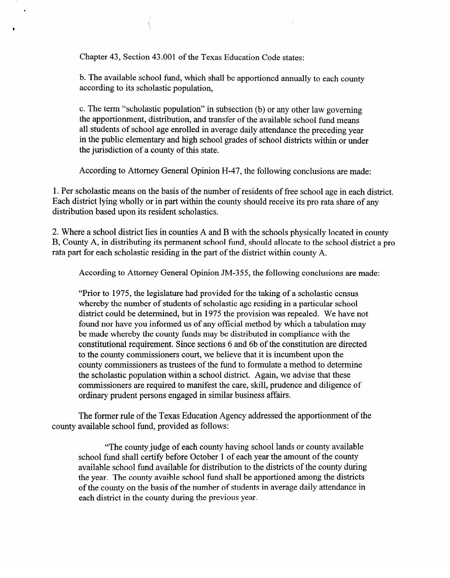Chapter 43, Section 43 .OOl of the Texas Education Code states:

b. The available school fund, which shall be apportioned annually to each county according to its scholastic population,

c. The term "scholastic population" in subsection (b) or any other law governing the apportionment, distribution, and transfer of the available school fund means all students of school age enrolled in average daily attendance the preceding year in the public elementary and high school grades of school districts within or under the jurisdiction of a county of this state.

According to Attorney General Opinion H-47, the following conclusions are made:

1. Per scholastic means on the basis of the number of residents of free school age in each district. Each district lying wholly or in part within the county should receive its pro rata share of any distribution based upon its resident scholastics.

2. Where a school district lies in counties A and B with the schools physically located in county B, County A, in distributing its permanent school fund, should allocate to the school district a pro B, County A, in distributing its permanent school fund, should allocate to the school district a pro rata part for each scholastic residing in the part of the district within county A.

According to Attorney General Opinion JM-355, the following conclusions are made:

"Prior to 1975, the legislature had provided for the taking of a scholastic census district could be determined, but in 1975 the provision was repealed. We have not found nor have you informed us of any official method by which a tabulation may be made whereby the county funds may be distributed in compliance with the constitutional requirement. Since sections 6 and 6b of the constitution are directed to the county commissioners court, we believe that it is incumbent upon the county commissioners as trustees of the fund to formulate a method to determine the scholastic population within a school district. Again, we advise that these commissioners are required to manifest the care, skill, prudence and diligence of ordinary prudent persons engaged in similar business affairs. ordinary prudent persons engaged in similar business affairs.

The former rule of the Texas Education Agency addressed the apportionment of the county available school fund, provided as follows:

county available school fund, provided as follows:

"The county judge of each county having school lands or county available" school fund shall certify before October 1 of each year the amount of the county available school fund available for distribution to the districts of the county during the year. The county avaible school fund shall be apportioned among the districts of the county on the basis of the number of students in average daily attendance in each district in the county during the previous year.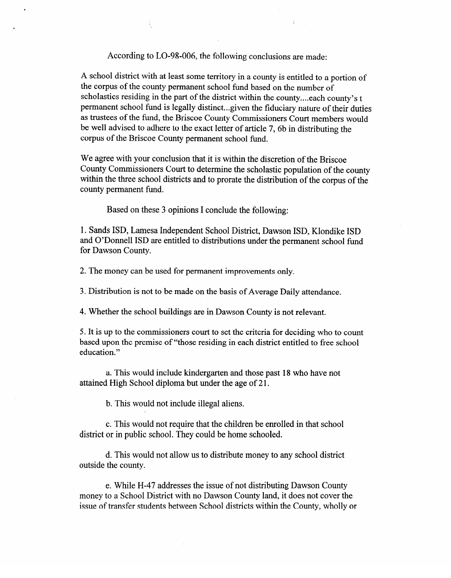According to LO-98-006, the following conclusions are made:

Å

A school district with at least some territory in a county is entitled to a portion of the corpus of the county permanent school fund based on the number of scholastics residing in the part of the district within the county.. ..each county's t permanent school fund is legally distinct...given the fiduciary nature of their duties as trustees of the fund, the Briscoe County Commissioners Court members would be well advised to adhere to the exact letter of article 7, 6b in distributing the corpus of the Briscoe County permanent school fund.

We agree with your conclusion that it is within the discretion of the Briscoe County Commissioners Court to determine the scholastic population of the county within the three school districts and to prorate the distribution of the corpus of the county permanent fund.

Based on these 3 opinions I conclude the following:

1. Sands ISD, Lamesa Independent School District, Dawson ISD, Klondike ISD and O'Donnell ISD are entitled to distributions under the permanent school fund for Dawson County.

2. The money can be used for permanent improvements only.

3. Distribution is not to be made on the basis of Average Daily attendance.

4. Whether the school buildings are in Dawson County is not relevant.

5. It is up to the commissioners court to set the criteria for deciding who to count education."

a. This would include kindergarten and those past 18 who have not attained High School diploma but under the age of 21.

b. This would not include illegal aliens. b. This would not include illegal aliens.

c. This would not require that the children be enrolled in that school district or in public school. They could be home schooled.

d. This would not allow us to distribute money to any school district outside the county.

e. While H-47 addresses the issue of not distributing Dawson County money to a School District with no Dawson County land, it does not cover the issue of transfer students between School districts within the County, wholly or